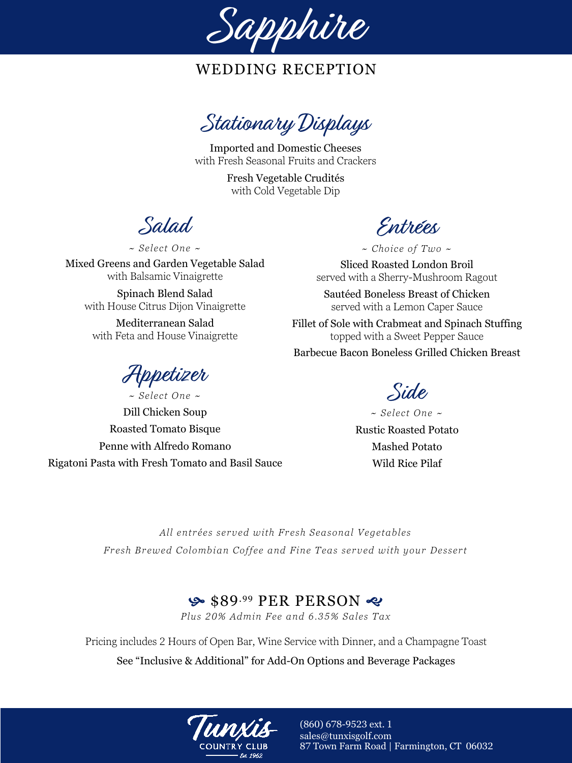

Stationary Displays

Imported and Domestic Cheeses with Fresh Seasonal Fruits and Crackers

> Fresh Vegetable Crudités with Cold Vegetable Dip

Salad

*~ Select One ~*

Mixed Greens and Garden Vegetable Salad with Balsamic Vinaigrette

Spinach Blend Salad with House Citrus Dijon Vinaigrette

Mediterranean Salad with Feta and House Vinaigrette

Appetizer

*~ Select One ~* Dill Chicken Soup Roasted Tomato Bisque Penne with Alfredo Romano Rigatoni Pasta with Fresh Tomato and Basil Sauce

Entrées

*~ Choice of Two ~*

Sliced Roasted London Broil served with a Sherry-Mushroom Ragout

Sautéed Boneless Breast of Chicken served with a Lemon Caper Sauce

Fillet of Sole with Crabmeat and Spinach Stuffing topped with a Sweet Pepper Sauce Barbecue Bacon Boneless Grilled Chicken Breast

Side

*~ Select One ~* Rustic Roasted Potato Mashed Potato Wild Rice Pilaf

*All entrées served with Fresh Seasonal Vegetables Fresh Brewed Colombian Coffee and Fine Teas served with your Dessert*

#### $\bullet$  \$89.99 PER PERSON  $\bullet$

*Plus 20% Admin Fee and 6.35% Sales Tax*

Pricing includes 2 Hours of Open Bar, Wine Service with Dinner, and a Champagne Toast

See "Inclusive & Additional" for Add-On Options and Beverage Packages

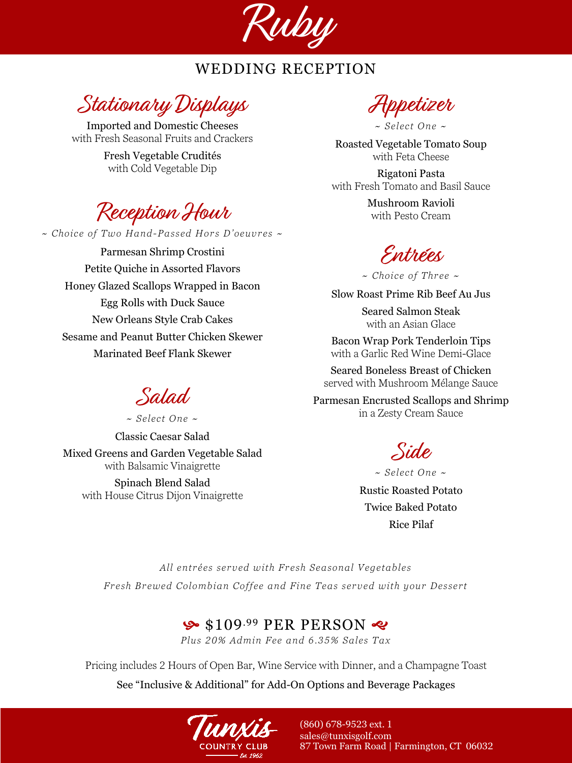

Stationary Displays

Imported and Domestic Cheeses with Fresh Seasonal Fruits and Crackers

> Fresh Vegetable Crudités with Cold Vegetable Dip

Reception Hour

*~ Choice of Two Hand-Passed Hors D'oeuvres ~*

Parmesan Shrimp Crostini Petite Quiche in Assorted Flavors Honey Glazed Scallops Wrapped in Bacon Egg Rolls with Duck Sauce New Orleans Style Crab Cakes Sesame and Peanut Butter Chicken Skewer Marinated Beef Flank Skewer

Salad

*~ Select One ~* Classic Caesar Salad Mixed Greens and Garden Vegetable Salad with Balsamic Vinaigrette Spinach Blend Salad with House Citrus Dijon Vinaigrette

Appetizer

Roasted Vegetable Tomato Soup with Feta Cheese

Rigatoni Pasta with Fresh Tomato and Basil Sauce

> Mushroom Ravioli with Pesto Cream

Entrées

*~ Choice of Three ~*

Slow Roast Prime Rib Beef Au Jus

Seared Salmon Steak with an Asian Glace

Bacon Wrap Pork Tenderloin Tips with a Garlic Red Wine Demi-Glace

Seared Boneless Breast of Chicken served with Mushroom Mélange Sauce

Parmesan Encrusted Scallops and Shrimp in a Zesty Cream Sauce

Side

*~ Select One ~*

Rustic Roasted Potato Twice Baked Potato Rice Pilaf

*All entrées served with Fresh Seasonal Vegetables Fresh Brewed Colombian Coffee and Fine Teas served with your Dessert*

#### $\frac{6}{5}$ \$109.99 PER PERSON  $\frac{2}{5}$

*Plus 20% Admin Fee and 6.35% Sales Tax*

Pricing includes 2 Hours of Open Bar, Wine Service with Dinner, and a Champagne Toast See "Inclusive & Additional" for Add-On Options and Beverage Packages



*<sup>~</sup> Select One ~*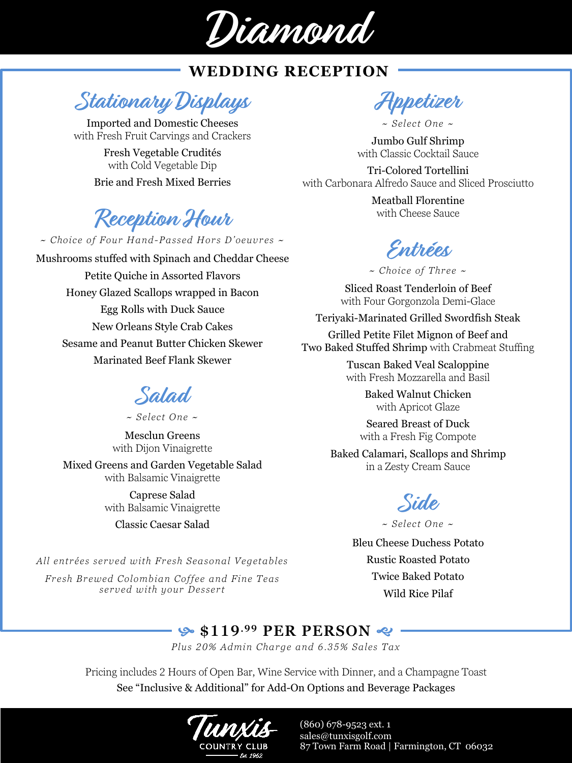

**Stationary Displays**

Imported and Domestic Cheeses with Fresh Fruit Carvings and Crackers

> Fresh Vegetable Crudités with Cold Vegetable Dip Brie and Fresh Mixed Berries

# **Reception Hour**

*~ Choice of Four Hand-Passed Hors D'oeuvres ~*

Mushrooms stuffed with Spinach and Cheddar Cheese Petite Quiche in Assorted Flavors Honey Glazed Scallops wrapped in Bacon Egg Rolls with Duck Sauce New Orleans Style Crab Cakes Sesame and Peanut Butter Chicken Skewer Marinated Beef Flank Skewer

# **Salad**

*~ Select One ~*

Mesclun Greens with Dijon Vinaigrette Mixed Greens and Garden Vegetable Salad

> with Balsamic Vinaigrette Caprese Salad with Balsamic Vinaigrette

> > Classic Caesar Salad

*All entrées served with Fresh Seasonal Vegetables Fresh Brewed Colombian Coffee and Fine Teas served with your Dessert*

**Appetizer**

*~ Select One ~*

Jumbo Gulf Shrimp with Classic Cocktail Sauce

Tri-Colored Tortellini with Carbonara Alfredo Sauce and Sliced Prosciutto

> Meatball Florentine with Cheese Sauce

**Entrées**

*~ Choice of Three ~*

Sliced Roast Tenderloin of Beef with Four Gorgonzola Demi-Glace

Teriyaki-Marinated Grilled Swordfish Steak

Grilled Petite Filet Mignon of Beef and Two Baked Stuffed Shrimp with Crabmeat Stuffing

> Tuscan Baked Veal Scaloppine with Fresh Mozzarella and Basil

> > Baked Walnut Chicken with Apricot Glaze

Seared Breast of Duck with a Fresh Fig Compote

Baked Calamari, Scallops and Shrimp in a Zesty Cream Sauce



*~ Select One ~*

Bleu Cheese Duchess Potato Rustic Roasted Potato Twice Baked Potato Wild Rice Pilaf

#### **9.99 PER PERSON**

*Plus 20% Admin Charge and 6.35% Sales Tax*

Pricing includes 2 Hours of Open Bar, Wine Service with Dinner, and a Champagne Toast See "Inclusive & Additional" for Add-On Options and Beverage Packages

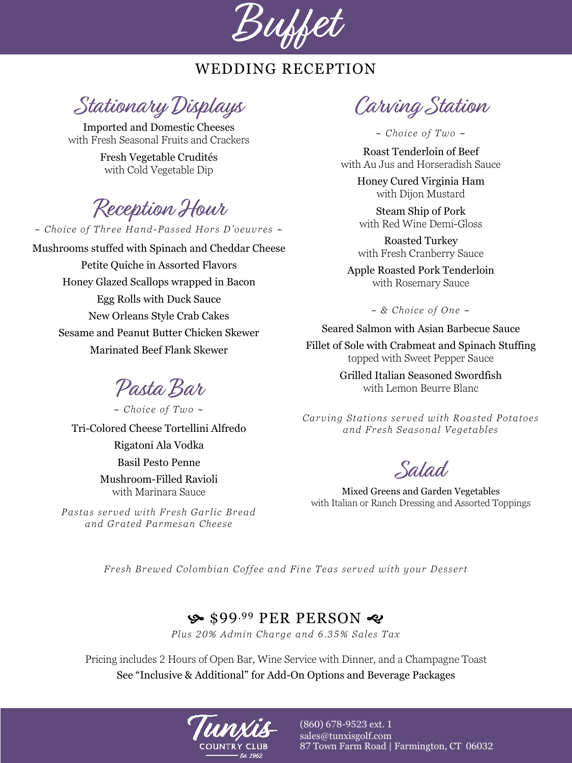

Stationary Displays

Imported and Domestic Cheeses with Fresh Seasonal Fruits and Crackers

> Fresh Vegetable Crudités with Cold Vegetable Dip

Reception Hour

*~ Choice of Three Hand-Passed Hors D'oeuvres ~*

Mushrooms stuffed with Spinach and Cheddar Cheese Petite Quiche in Assorted Flavors Honey Glazed Scallops wrapped in Bacon Egg Rolls with Duck Sauce New Orleans Style Crab Cakes Sesame and Peanut Butter Chicken Skewer Marinated Beef Flank Skewer

Pasta Bar

*~ Choice of Two ~* Tri-Colored Cheese Tortellini Alfredo Rigatoni Ala Vodka Basil Pesto Penne Mushroom-Filled Ravioli with Marinara Sauce

*Pastas served with Fresh Garlic Bread and Grated Parmesan Cheese*

Carving Station

*~ Choice of Two ~*

Roast Tenderloin of Beef with Au Jus and Horseradish Sauce

> Honey Cured Virginia Ham with Dijon Mustard

Steam Ship of Pork with Red Wine Demi-Gloss

Roasted Turkey with Fresh Cranberry Sauce

Apple Roasted Pork Tenderloin with Rosemary Sauce

*~ & Choice of One ~*

Seared Salmon with Asian Barbecue Sauce

Fillet of Sole with Crabmeat and Spinach Stuffing topped with Sweet Pepper Sauce

> Grilled Italian Seasoned Swordfish with Lemon Beurre Blanc

*Carving Stations served with Roasted Potatoes and Fresh Seasonal Vegetables*

Salad

Mixed Greens and Garden Vegetables with Italian or Ranch Dressing and Assorted Toppings

*Fresh Brewed Colombian Coffee and Fine Teas served with your Dessert*

#### \$99.99 PER PERSON ~

*Plus 20% Admin Charge and 6.35% Sales Tax*

Pricing includes 2 Hours of Open Bar, Wine Service with Dinner, and a Champagne Toast See "Inclusive & Additional" for Add-On Options and Beverage Packages